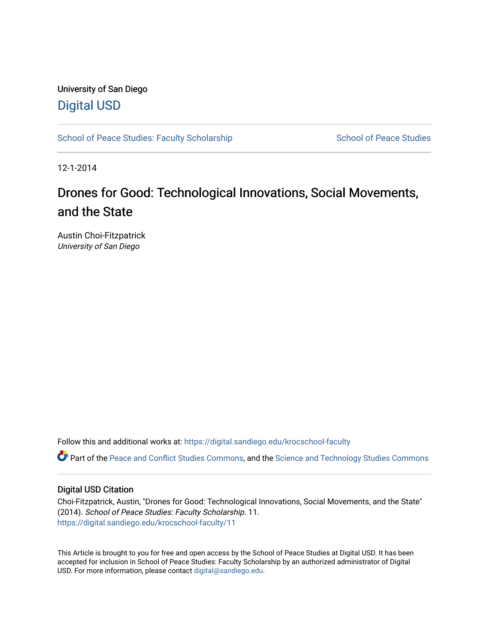# University of San Diego [Digital USD](https://digital.sandiego.edu/)

[School of Peace Studies: Faculty Scholarship](https://digital.sandiego.edu/krocschool-faculty) School of Peace Studies

12-1-2014

# Drones for Good: Technological Innovations, Social Movements, and the State

Austin Choi-Fitzpatrick University of San Diego

Follow this and additional works at: [https://digital.sandiego.edu/krocschool-faculty](https://digital.sandiego.edu/krocschool-faculty?utm_source=digital.sandiego.edu%2Fkrocschool-faculty%2F11&utm_medium=PDF&utm_campaign=PDFCoverPages) 

Part of the [Peace and Conflict Studies Commons,](https://network.bepress.com/hgg/discipline/397?utm_source=digital.sandiego.edu%2Fkrocschool-faculty%2F11&utm_medium=PDF&utm_campaign=PDFCoverPages) and the [Science and Technology Studies Commons](https://network.bepress.com/hgg/discipline/435?utm_source=digital.sandiego.edu%2Fkrocschool-faculty%2F11&utm_medium=PDF&utm_campaign=PDFCoverPages) 

#### Digital USD Citation

Choi-Fitzpatrick, Austin, "Drones for Good: Technological Innovations, Social Movements, and the State" (2014). School of Peace Studies: Faculty Scholarship. 11. [https://digital.sandiego.edu/krocschool-faculty/11](https://digital.sandiego.edu/krocschool-faculty/11?utm_source=digital.sandiego.edu%2Fkrocschool-faculty%2F11&utm_medium=PDF&utm_campaign=PDFCoverPages)

This Article is brought to you for free and open access by the School of Peace Studies at Digital USD. It has been accepted for inclusion in School of Peace Studies: Faculty Scholarship by an authorized administrator of Digital USD. For more information, please contact [digital@sandiego.edu](mailto:digital@sandiego.edu).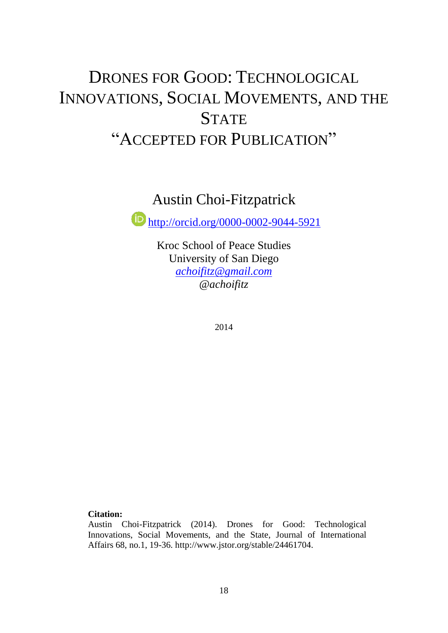# DRONES FOR GOOD: TECHNOLOGICAL INNOVATIONS, SOCIAL MOVEMENTS, AND THE **STATE** "ACCEPTED FOR PUBLICATION"

# Austin Choi-Fitzpatrick

<http://orcid.org/0000-0002-9044-5921>

Kroc School of Peace Studies University of San Diego *[achoifitz@gmail.com](mailto:achoifitz@gmail.com) @achoifitz* 

2014

# **Citation:**

Austin Choi-Fitzpatrick (2014). Drones for Good: Technological Innovations, Social Movements, and the State, Journal of International Affairs 68, no.1, 19-36. http://www.jstor.org/stable/24461704.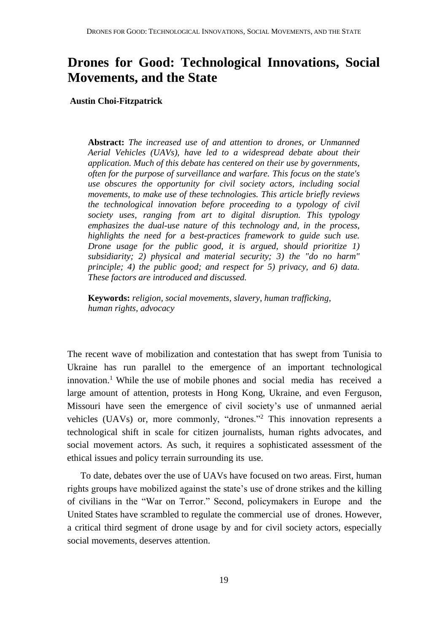# **Drones for Good: Technological Innovations, Social Movements, and the State**

 **Austin Choi-Fitzpatrick**

**Abstract:** *The increased use of and attention to drones, or Unmanned Aerial Vehicles (UAVs), have led to a widespread debate about their application. Much of this debate has centered on their use by governments, often for the purpose of surveillance and warfare. This focus on the state's use obscures the opportunity for civil society actors, including social movements, to make use of these technologies. This article briefly reviews the technological innovation before proceeding to a typology of civil society uses, ranging from art to digital disruption. This typology emphasizes the dual-use nature of this technology and, in the process, highlights the need for a best-practices framework to guide such use. Drone usage for the public good, it is argued, should prioritize 1) subsidiarity; 2) physical and material security; 3) the "do no harm" principle; 4) the public good; and respect for 5) privacy, and 6) data. These factors are introduced and discussed.*

 **Keywords:** *religion, social movements, slavery, human trafficking, human rights, advocacy*

The recent wave of mobilization and contestation that has swept from Tunisia to Ukraine has run parallel to the emergence of an important technological innovation.<sup>1</sup> While the use of mobile phones and social media has received a large amount of attention, protests in Hong Kong, Ukraine, and even Ferguson, Missouri have seen the emergence of civil society's use of unmanned aerial vehicles (UAVs) or, more commonly, "drones."<sup>2</sup> This innovation represents a technological shift in scale for citizen journalists, human rights advocates, and social movement actors. As such, it requires a sophisticated assessment of the ethical issues and policy terrain surrounding its use.

To date, debates over the use of UAVs have focused on two areas. First, human rights groups have mobilized against the state's use of drone strikes and the killing of civilians in the "War on Terror." Second, policymakers in Europe and the United States have scrambled to regulate the commercial use of drones. However, a critical third segment of drone usage by and for civil society actors, especially social movements, deserves attention.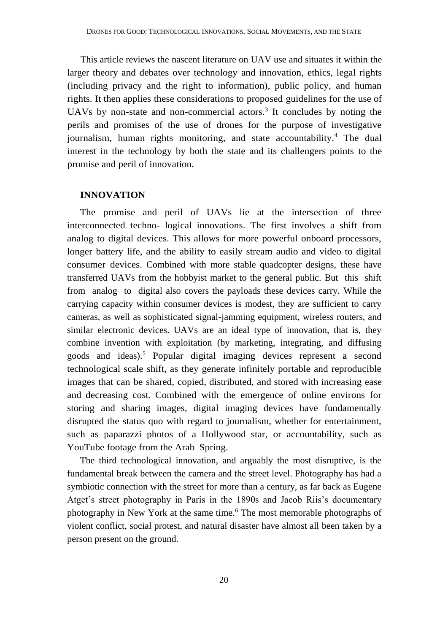This article reviews the nascent literature on UAV use and situates it within the larger theory and debates over technology and innovation, ethics, legal rights (including privacy and the right to information), public policy, and human rights. It then applies these considerations to proposed guidelines for the use of UAVs by non-state and non-commercial actors.<sup>3</sup> It concludes by noting the perils and promises of the use of drones for the purpose of investigative journalism, human rights monitoring, and state accountability.<sup>4</sup> The dual interest in the technology by both the state and its challengers points to the promise and peril of innovation.

#### **INNOVATION**

The promise and peril of UAVs lie at the intersection of three interconnected techno- logical innovations. The first involves a shift from analog to digital devices. This allows for more powerful onboard processors, longer battery life, and the ability to easily stream audio and video to digital consumer devices. Combined with more stable quadcopter designs, these have transferred UAVs from the hobbyist market to the general public. But this shift from analog to digital also covers the payloads these devices carry. While the carrying capacity within consumer devices is modest, they are sufficient to carry cameras, as well as sophisticated signal-jamming equipment, wireless routers, and similar electronic devices. UAVs are an ideal type of innovation, that is, they combine invention with exploitation (by marketing, integrating, and diffusing goods and ideas).<sup>5</sup> Popular digital imaging devices represent a second technological scale shift, as they generate infinitely portable and reproducible images that can be shared, copied, distributed, and stored with increasing ease and decreasing cost. Combined with the emergence of online environs for storing and sharing images, digital imaging devices have fundamentally disrupted the status quo with regard to journalism, whether for entertainment, such as paparazzi photos of a Hollywood star, or accountability, such as YouTube footage from the Arab Spring.

The third technological innovation, and arguably the most disruptive, is the fundamental break between the camera and the street level. Photography has had a symbiotic connection with the street for more than a century, as far back as Eugene Atget's street photography in Paris in the 1890s and Jacob Riis's documentary photography in New York at the same time.<sup>6</sup> The most memorable photographs of violent conflict, social protest, and natural disaster have almost all been taken by a person present on the ground.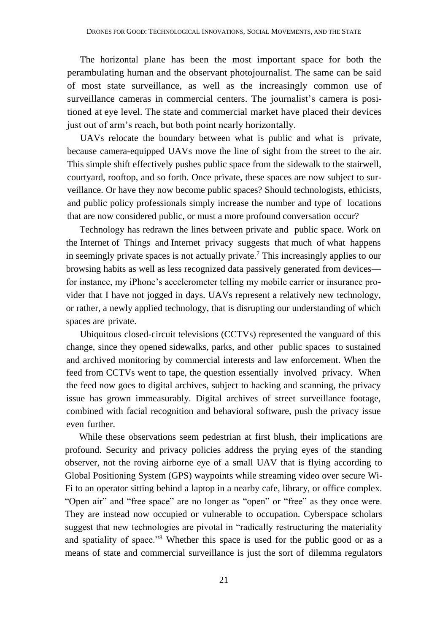The horizontal plane has been the most important space for both the perambulating human and the observant photojournalist. The same can be said of most state surveillance, as well as the increasingly common use of surveillance cameras in commercial centers. The journalist's camera is positioned at eye level. The state and commercial market have placed their devices just out of arm's reach, but both point nearly horizontally.

UAVs relocate the boundary between what is public and what is private, because camera-equipped UAVs move the line of sight from the street to the air. This simple shift effectively pushes public space from the sidewalk to the stairwell, courtyard, rooftop, and so forth. Once private, these spaces are now subject to surveillance. Or have they now become public spaces? Should technologists, ethicists, and public policy professionals simply increase the number and type of locations that are now considered public, or must a more profound conversation occur?

Technology has redrawn the lines between private and public space. Work on the Internet of Things and Internet privacy suggests that much of what happens in seemingly private spaces is not actually private.<sup>7</sup> This increasingly applies to our browsing habits as well as less recognized data passively generated from devices for instance, my iPhone's accelerometer telling my mobile carrier or insurance provider that I have not jogged in days. UAVs represent a relatively new technology, or rather, a newly applied technology, that is disrupting our understanding of which spaces are private.

Ubiquitous closed-circuit televisions (CCTVs) represented the vanguard of this change, since they opened sidewalks, parks, and other public spaces to sustained and archived monitoring by commercial interests and law enforcement. When the feed from CCTVs went to tape, the question essentially involved privacy. When the feed now goes to digital archives, subject to hacking and scanning, the privacy issue has grown immeasurably. Digital archives of street surveillance footage, combined with facial recognition and behavioral software, push the privacy issue even further.

While these observations seem pedestrian at first blush, their implications are profound. Security and privacy policies address the prying eyes of the standing observer, not the roving airborne eye of a small UAV that is flying according to Global Positioning System (GPS) waypoints while streaming video over secure Wi-Fi to an operator sitting behind a laptop in a nearby cafe, library, or office complex. "Open air" and "free space" are no longer as "open" or "free" as they once were. They are instead now occupied or vulnerable to occupation. Cyberspace scholars suggest that new technologies are pivotal in "radically restructuring the materiality and spatiality of space."<sup>8</sup> Whether this space is used for the public good or as a means of state and commercial surveillance is just the sort of dilemma regulators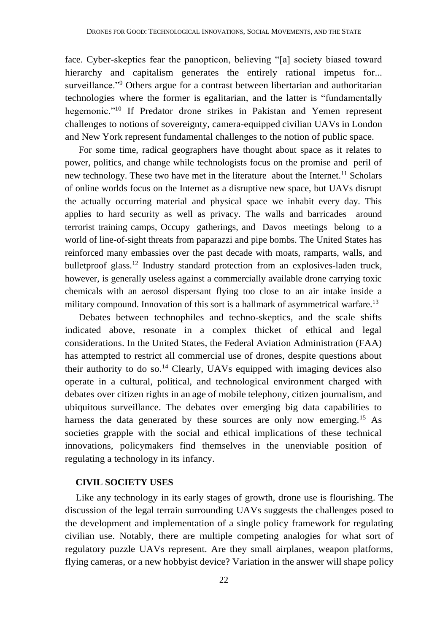face. Cyber-skeptics fear the panopticon, believing "[a] society biased toward hierarchy and capitalism generates the entirely rational impetus for... surveillance."<sup>9</sup> Others argue for a contrast between libertarian and authoritarian technologies where the former is egalitarian, and the latter is "fundamentally hegemonic."<sup>10</sup> If Predator drone strikes in Pakistan and Yemen represent challenges to notions of sovereignty, camera-equipped civilian UAVs in London and New York represent fundamental challenges to the notion of public space.

For some time, radical geographers have thought about space as it relates to power, politics, and change while technologists focus on the promise and peril of new technology. These two have met in the literature about the Internet.<sup>11</sup> Scholars of online worlds focus on the Internet as a disruptive new space, but UAVs disrupt the actually occurring material and physical space we inhabit every day. This applies to hard security as well as privacy. The walls and barricades around terrorist training camps, Occupy gatherings, and Davos meetings belong to a world of line-of-sight threats from paparazzi and pipe bombs. The United States has reinforced many embassies over the past decade with moats, ramparts, walls, and bulletproof glass.<sup>12</sup> Industry standard protection from an explosives-laden truck, however, is generally useless against a commercially available drone carrying toxic chemicals with an aerosol dispersant flying too close to an air intake inside a military compound. Innovation of this sort is a hallmark of asymmetrical warfare.<sup>13</sup>

Debates between technophiles and techno-skeptics, and the scale shifts indicated above, resonate in a complex thicket of ethical and legal considerations. In the United States, the Federal Aviation Administration (FAA) has attempted to restrict all commercial use of drones, despite questions about their authority to do so.<sup>14</sup> Clearly, UAVs equipped with imaging devices also operate in a cultural, political, and technological environment charged with debates over citizen rights in an age of mobile telephony, citizen journalism, and ubiquitous surveillance. The debates over emerging big data capabilities to harness the data generated by these sources are only now emerging.<sup>15</sup> As societies grapple with the social and ethical implications of these technical innovations, policymakers find themselves in the unenviable position of regulating a technology in its infancy.

## **CIVIL SOCIETY USES**

Like any technology in its early stages of growth, drone use is flourishing. The discussion of the legal terrain surrounding UAVs suggests the challenges posed to the development and implementation of a single policy framework for regulating civilian use. Notably, there are multiple competing analogies for what sort of regulatory puzzle UAVs represent. Are they small airplanes, weapon platforms, flying cameras, or a new hobbyist device? Variation in the answer will shape policy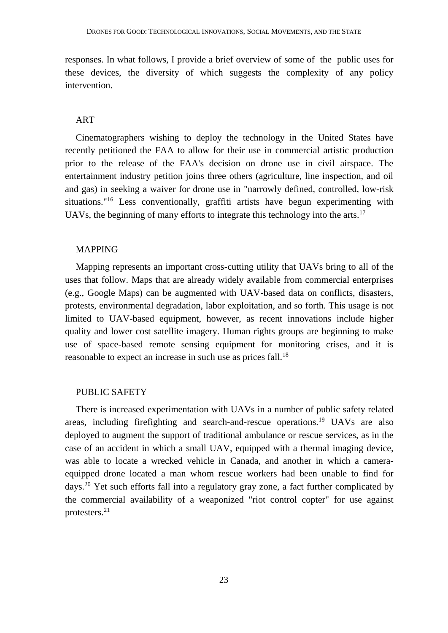responses. In what follows, I provide a brief overview of some of the public uses for these devices, the diversity of which suggests the complexity of any policy intervention.

#### ART

Cinematographers wishing to deploy the technology in the United States have recently petitioned the FAA to allow for their use in commercial artistic production prior to the release of the FAA's decision on drone use in civil airspace. The entertainment industry petition joins three others (agriculture, line inspection, and oil and gas) in seeking a waiver for drone use in "narrowly defined, controlled, low-risk situations."<sup>16</sup> Less conventionally, graffiti artists have begun experimenting with UAVs, the beginning of many efforts to integrate this technology into the arts.<sup>17</sup>

#### MAPPING

Mapping represents an important cross-cutting utility that UAVs bring to all of the uses that follow. Maps that are already widely available from commercial enterprises (e.g., Google Maps) can be augmented with UAV-based data on conflicts, disasters, protests, environmental degradation, labor exploitation, and so forth. This usage is not limited to UAV-based equipment, however, as recent innovations include higher quality and lower cost satellite imagery. Human rights groups are beginning to make use of space-based remote sensing equipment for monitoring crises, and it is reasonable to expect an increase in such use as prices fall.<sup>18</sup>

#### PUBLIC SAFETY

There is increased experimentation with UAVs in a number of public safety related areas, including firefighting and search-and-rescue operations.<sup>19</sup> UAVs are also deployed to augment the support of traditional ambulance or rescue services, as in the case of an accident in which a small UAV, equipped with a thermal imaging device, was able to locate a wrecked vehicle in Canada, and another in which a cameraequipped drone located a man whom rescue workers had been unable to find for days.<sup>20</sup> Yet such efforts fall into a regulatory gray zone, a fact further complicated by the commercial availability of a weaponized "riot control copter" for use against protesters.21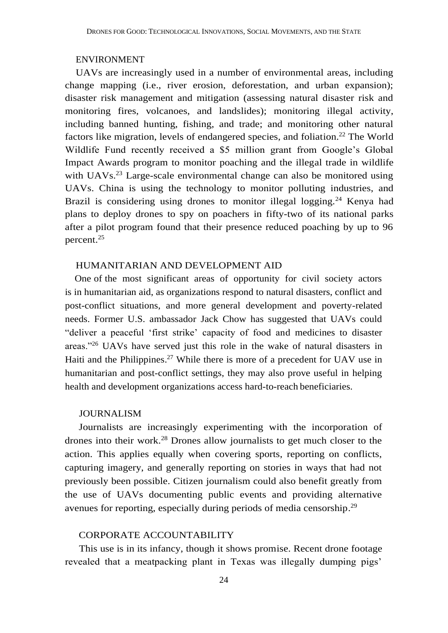#### ENVIRONMENT

UAVs are increasingly used in a number of environmental areas, including change mapping (i.e., river erosion, deforestation, and urban expansion); disaster risk management and mitigation (assessing natural disaster risk and monitoring fires, volcanoes, and landslides); monitoring illegal activity, including banned hunting, fishing, and trade; and monitoring other natural factors like migration, levels of endangered species, and foliation.<sup>22</sup> The World Wildlife Fund recently received a \$5 million grant from Google's Global Impact Awards program to monitor poaching and the illegal trade in wildlife with UAVs.<sup>23</sup> Large-scale environmental change can also be monitored using UAVs. China is using the technology to monitor polluting industries, and Brazil is considering using drones to monitor illegal logging.<sup>24</sup> Kenya had plans to deploy drones to spy on poachers in fifty-two of its national parks after a pilot program found that their presence reduced poaching by up to 96 percent. 25

## HUMANITARIAN AND DEVELOPMENT AID

 One of the most significant areas of opportunity for civil society actors is in humanitarian aid, as organizations respond to natural disasters, conflict and post-conflict situations, and more general development and poverty-related needs. Former U.S. ambassador Jack Chow has suggested that UAVs could "deliver a peaceful 'first strike' capacity of food and medicines to disaster areas."<sup>26</sup> UAVs have served just this role in the wake of natural disasters in Haiti and the Philippines.<sup>27</sup> While there is more of a precedent for UAV use in humanitarian and post-conflict settings, they may also prove useful in helping health and development organizations access hard-to-reach beneficiaries.

#### JOURNALISM

Journalists are increasingly experimenting with the incorporation of drones into their work.<sup>28</sup> Drones allow journalists to get much closer to the action. This applies equally when covering sports, reporting on conflicts, capturing imagery, and generally reporting on stories in ways that had not previously been possible. Citizen journalism could also benefit greatly from the use of UAVs documenting public events and providing alternative avenues for reporting, especially during periods of media censorship.<sup>29</sup>

#### CORPORATE ACCOUNTABILITY

This use is in its infancy, though it shows promise. Recent drone footage revealed that a meatpacking plant in Texas was illegally dumping pigs'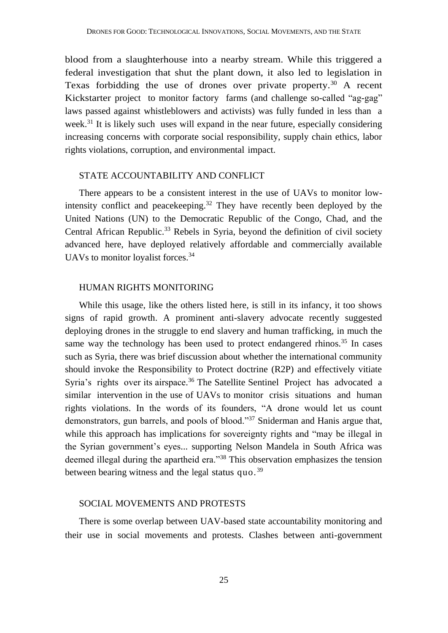blood from a slaughterhouse into a nearby stream. While this triggered a federal investigation that shut the plant down, it also led to legislation in Texas forbidding the use of drones over private property.<sup>30</sup> A recent Kickstarter project to monitor factory farms (and challenge so-called "ag-gag" laws passed against whistleblowers and activists) was fully funded in less than a week.<sup>31</sup> It is likely such uses will expand in the near future, especially considering increasing concerns with corporate social responsibility, supply chain ethics, labor rights violations, corruption, and environmental impact.

#### STATE ACCOUNTABILITY AND CONFLICT

There appears to be a consistent interest in the use of UAVs to monitor lowintensity conflict and peace keeping.<sup>32</sup> They have recently been deployed by the United Nations (UN) to the Democratic Republic of the Congo, Chad, and the Central African Republic.<sup>33</sup> Rebels in Syria, beyond the definition of civil society advanced here, have deployed relatively affordable and commercially available UAVs to monitor loyalist forces.<sup>34</sup>

## HUMAN RIGHTS MONITORING

While this usage, like the others listed here, is still in its infancy, it too shows signs of rapid growth. A prominent anti-slavery advocate recently suggested deploying drones in the struggle to end slavery and human trafficking, in much the same way the technology has been used to protect endangered rhinos.<sup>35</sup> In cases such as Syria, there was brief discussion about whether the international community should invoke the Responsibility to Protect doctrine (R2P) and effectively vitiate Syria's rights over its airspace.<sup>36</sup> The Satellite Sentinel Project has advocated a similar intervention in the use of UAVs to monitor crisis situations and human rights violations. In the words of its founders, "A drone would let us count demonstrators, gun barrels, and pools of blood."<sup>37</sup> Sniderman and Hanis argue that, while this approach has implications for sovereignty rights and "may be illegal in the Syrian government's eyes... supporting Nelson Mandela in South Africa was deemed illegal during the apartheid era."<sup>38</sup> This observation emphasizes the tension between bearing witness and the legal status quo. <sup>39</sup>

#### SOCIAL MOVEMENTS AND PROTESTS

There is some overlap between UAV-based state accountability monitoring and their use in social movements and protests. Clashes between anti-government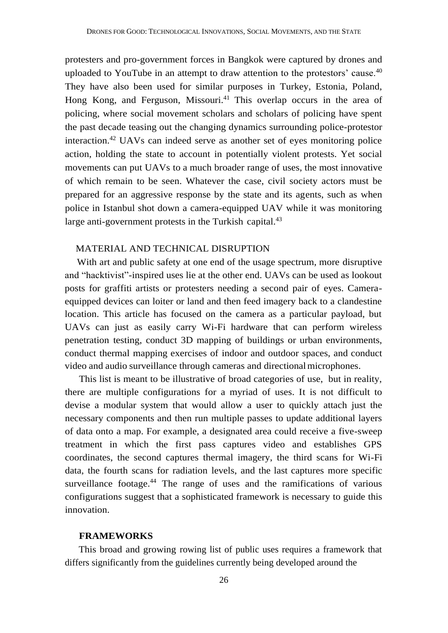protesters and pro-government forces in Bangkok were captured by drones and uploaded to YouTube in an attempt to draw attention to the protestors' cause.<sup>40</sup> They have also been used for similar purposes in Turkey, Estonia, Poland, Hong Kong, and Ferguson, Missouri.<sup>41</sup> This overlap occurs in the area of policing, where social movement scholars and scholars of policing have spent the past decade teasing out the changing dynamics surrounding police-protestor interaction.<sup>42</sup> UAVs can indeed serve as another set of eyes monitoring police action, holding the state to account in potentially violent protests. Yet social movements can put UAVs to a much broader range of uses, the most innovative of which remain to be seen. Whatever the case, civil society actors must be prepared for an aggressive response by the state and its agents, such as when police in Istanbul shot down a camera-equipped UAV while it was monitoring large anti-government protests in the Turkish capital.<sup>43</sup>

#### MATERIAL AND TECHNICAL DISRUPTION

 With art and public safety at one end of the usage spectrum, more disruptive and "hacktivist"-inspired uses lie at the other end. UAVs can be used as lookout posts for graffiti artists or protesters needing a second pair of eyes. Cameraequipped devices can loiter or land and then feed imagery back to a clandestine location. This article has focused on the camera as a particular payload, but UAVs can just as easily carry Wi-Fi hardware that can perform wireless penetration testing, conduct 3D mapping of buildings or urban environments, conduct thermal mapping exercises of indoor and outdoor spaces, and conduct video and audio surveillance through cameras and directionalmicrophones.

This list is meant to be illustrative of broad categories of use, but in reality, there are multiple configurations for a myriad of uses. It is not difficult to devise a modular system that would allow a user to quickly attach just the necessary components and then run multiple passes to update additional layers of data onto a map. For example, a designated area could receive a five-sweep treatment in which the first pass captures video and establishes GPS coordinates, the second captures thermal imagery, the third scans for Wi-Fi data, the fourth scans for radiation levels, and the last captures more specific surveillance footage.<sup>44</sup> The range of uses and the ramifications of various configurations suggest that a sophisticated framework is necessary to guide this innovation.

## **FRAMEWORKS**

This broad and growing rowing list of public uses requires a framework that differs significantly from the guidelines currently being developed around the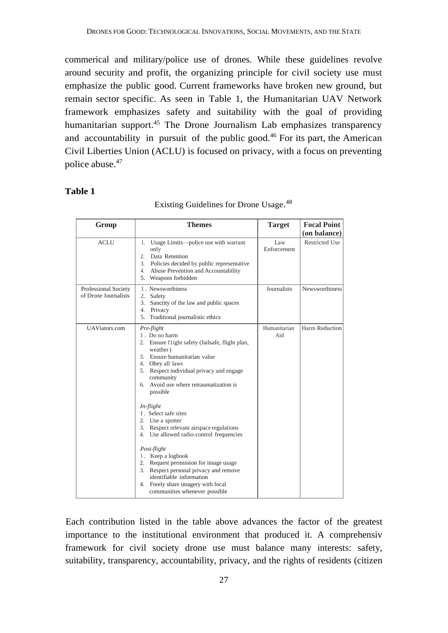commerical and military/police use of drones. While these guidelines revolve around security and profit, the organizing principle for civil society use must emphasize the public good. Current frameworks have broken new ground, but remain sector specific. As seen in Table 1, the Humanitarian UAV Network framework emphasizes safety and suitability with the goal of providing humanitarian support.<sup>45</sup> The Drone Journalism Lab emphasizes transparency and accountability in pursuit of the public good.<sup>46</sup> For its part, the American Civil Liberties Union (ACLU) is focused on privacy, with a focus on preventing police abuse. 47

#### **Table 1**

| Group                                        | <b>Themes</b>                                                                                                                                                                                                                                                                                                                                                                       | <b>Target</b>       | <b>Focal Point</b><br>(on balance) |
|----------------------------------------------|-------------------------------------------------------------------------------------------------------------------------------------------------------------------------------------------------------------------------------------------------------------------------------------------------------------------------------------------------------------------------------------|---------------------|------------------------------------|
| <b>ACLU</b>                                  | Usage Limits-police use with warrant<br>1.<br>only<br>Data Retention<br>2.<br>3.<br>Policies decided by public representative<br>Abuse Prevention and Accountability<br>4.<br>5. Weapons forbidden                                                                                                                                                                                  | Law<br>Enforcement  | <b>Restricted Use</b>              |
| Professional Society<br>of Drone Journalists | 1. Newsworthiness<br>2. Safety<br>3.<br>Sanctity of the law and public spaces<br>4.<br>Privacy<br>5.<br>Traditional journalistic ethics                                                                                                                                                                                                                                             | Journalists         | Newsworthiness                     |
| <b>UAViators.com</b>                         | Pre-flight<br>1. Do no harm<br>2. Ensure flight safety (failsafe, flight plan,<br>weather)<br>3. Ensure humanitarian value<br>4. Obey all laws<br>5. Respect individual privacy and engage<br>community<br>6. Avoid use where retraumatization is<br>possible                                                                                                                       | Humanitarian<br>Aid | Harm Reduction                     |
|                                              | $In$ -flight<br>I. Select safe sites<br>2. Use a spotter<br>Respect relevant airspace regulations<br>3.<br>4. Use allowed radio-control frequencies<br>Post-flight<br>1. Keep a logbook<br>2. Request permission for image usage<br>Respect personal privacy and remove<br>3.<br>identifiable information<br>Freely share imagery with local<br>4.<br>communities whenever possible |                     |                                    |

# Existing Guidelines for Drone Usage. 48

Each contribution listed in the table above advances the factor of the greatest importance to the institutional environment that produced it. A comprehensiv framework for civil society drone use must balance many interests: safety, suitability, transparency, accountability, privacy, and the rights of residents (citizen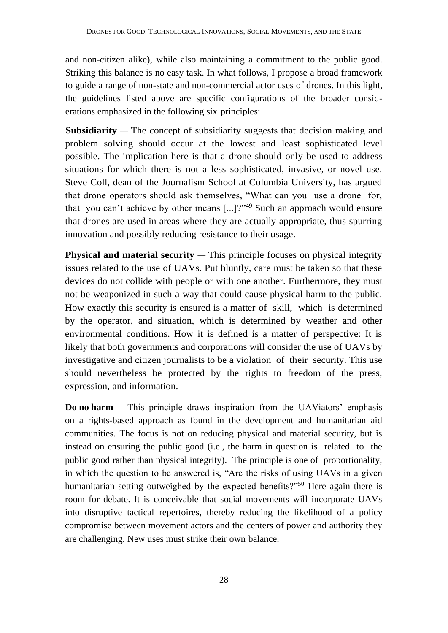and non-citizen alike), while also maintaining a commitment to the public good. Striking this balance is no easy task. In what follows, I propose a broad framework to guide a range of non-state and non-commercial actor uses of drones. In this light, the guidelines listed above are specific configurations of the broader considerations emphasized in the following six principles:

**Subsidiarity** — The concept of subsidiarity suggests that decision making and problem solving should occur at the lowest and least sophisticated level possible. The implication here is that a drone should only be used to address situations for which there is not a less sophisticated, invasive, or novel use. Steve Coll, dean of the Journalism School at Columbia University, has argued that drone operators should ask themselves, "What can you use a drone for, that you can't achieve by other means [...]?"<sup>49</sup> Such an approach would ensure that drones are used in areas where they are actually appropriate, thus spurring innovation and possibly reducing resistance to their usage.

**Physical and material security** — This principle focuses on physical integrity issues related to the use of UAVs. Put bluntly, care must be taken so that these devices do not collide with people or with one another. Furthermore, they must not be weaponized in such a way that could cause physical harm to the public. How exactly this security is ensured is a matter of skill, which is determined by the operator, and situation, which is determined by weather and other environmental conditions. How it is defined is a matter of perspective: It is likely that both governments and corporations will consider the use of UAVs by investigative and citizen journalists to be a violation of their security. This use should nevertheless be protected by the rights to freedom of the press, expression, and information.

**Do no harm** — This principle draws inspiration from the UAViators' emphasis on a rights-based approach as found in the development and humanitarian aid communities. The focus is not on reducing physical and material security, but is instead on ensuring the public good (i.e., the harm in question is related to the public good rather than physical integrity). The principle is one of proportionality, in which the question to be answered is, "Are the risks of using UAVs in a given humanitarian setting outweighed by the expected benefits?"<sup>50</sup> Here again there is room for debate. It is conceivable that social movements will incorporate UAVs into disruptive tactical repertoires, thereby reducing the likelihood of a policy compromise between movement actors and the centers of power and authority they are challenging. New uses must strike their own balance.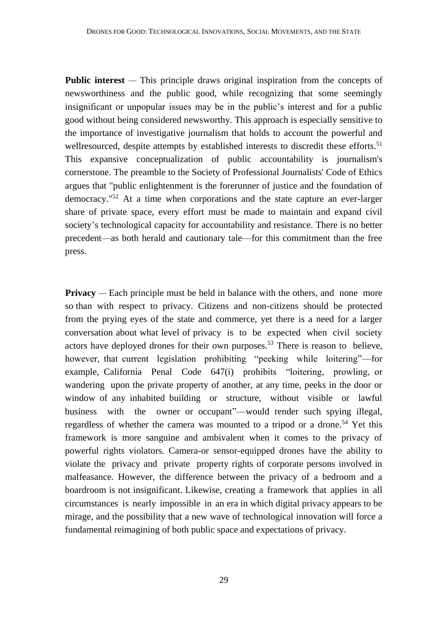**Public interest** — This principle draws original inspiration from the concepts of newsworthiness and the public good, while recognizing that some seemingly insignificant or unpopular issues may be in the public's interest and for a public good without being considered newsworthy. This approach is especially sensitive to the importance of investigative journalism that holds to account the powerful and wellresourced, despite attempts by established interests to discredit these efforts.<sup>51</sup> This expansive conceptualization of public accountability is journalism's cornerstone. The preamble to the Society of Professional Journalists' Code of Ethics argues that "public enlightenment is the forerunner of justice and the foundation of democracy."<sup>52</sup> At a time when corporations and the state capture an ever-larger share of private space, every effort must be made to maintain and expand civil society's technological capacity for accountability and resistance. There is no better precedent—as both herald and cautionary tale—for this commitment than the free press.

**Privacy** — Each principle must be held in balance with the others, and none more so than with respect to privacy. Citizens and non-citizens should be protected from the prying eyes of the state and commerce, yet there is a need for a larger conversation about what level of privacy is to be expected when civil society actors have deployed drones for their own purposes.<sup>53</sup> There is reason to believe, however, that current legislation prohibiting "peeking while loitering"—for example, California Penal Code 647(i) prohibits "loitering, prowling, or wandering upon the private property of another, at any time, peeks in the door or window of any inhabited building or structure, without visible or lawful business with the owner or occupant"—would render such spying illegal, regardless of whether the camera was mounted to a tripod or a drone.<sup>54</sup> Yet this framework is more sanguine and ambivalent when it comes to the privacy of powerful rights violators. Camera-or sensor-equipped drones have the ability to violate the privacy and private property rights of corporate persons involved in malfeasance. However, the difference between the privacy of a bedroom and a boardroom is not insignificant. Likewise, creating a framework that applies in all circumstances is nearly impossible in an era in which digital privacy appears to be mirage, and the possibility that a new wave of technological innovation will force a fundamental reimagining of both public space and expectations of privacy.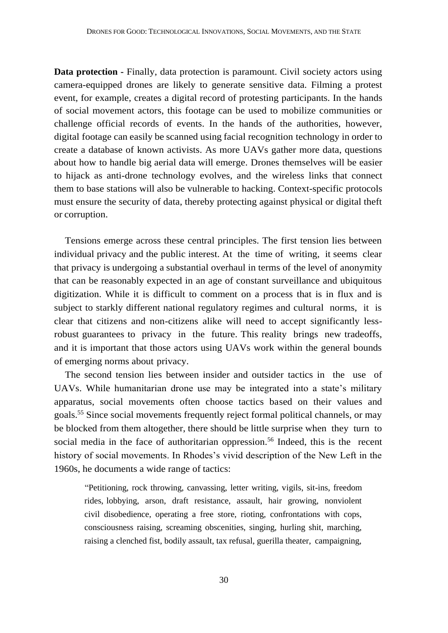**Data protection -** Finally, data protection is paramount. Civil society actors using camera-equipped drones are likely to generate sensitive data. Filming a protest event, for example, creates a digital record of protesting participants. In the hands of social movement actors, this footage can be used to mobilize communities or challenge official records of events. In the hands of the authorities, however, digital footage can easily be scanned using facial recognition technology in order to create a database of known activists. As more UAVs gather more data, questions about how to handle big aerial data will emerge. Drones themselves will be easier to hijack as anti-drone technology evolves, and the wireless links that connect them to base stations will also be vulnerable to hacking. Context-specific protocols must ensure the security of data, thereby protecting against physical or digital theft or corruption.

Tensions emerge across these central principles. The first tension lies between individual privacy and the public interest. At the time of writing, it seems clear that privacy is undergoing a substantial overhaul in terms of the level of anonymity that can be reasonably expected in an age of constant surveillance and ubiquitous digitization. While it is difficult to comment on a process that is in flux and is subject to starkly different national regulatory regimes and cultural norms, it is clear that citizens and non-citizens alike will need to accept significantly lessrobust guarantees to privacy in the future. This reality brings new tradeoffs, and it is important that those actors using UAVs work within the general bounds of emerging norms about privacy.

The second tension lies between insider and outsider tactics in the use of UAVs. While humanitarian drone use may be integrated into a state's military apparatus, social movements often choose tactics based on their values and goals.<sup>55</sup> Since social movements frequently reject formal political channels, or may be blocked from them altogether, there should be little surprise when they turn to social media in the face of authoritarian oppression.<sup>56</sup> Indeed, this is the recent history of social movements. In Rhodes's vivid description of the New Left in the 1960s, he documents a wide range of tactics:

"Petitioning, rock throwing, canvassing, letter writing, vigils, sit-ins, freedom rides, lobbying, arson, draft resistance, assault, hair growing, nonviolent civil disobedience, operating a free store, rioting, confrontations with cops, consciousness raising, screaming obscenities, singing, hurling shit, marching, raising a clenched fist, bodily assault, tax refusal, guerilla theater, campaigning,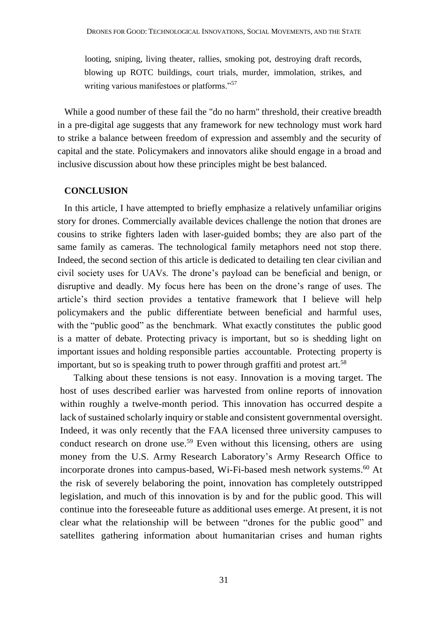looting, sniping, living theater, rallies, smoking pot, destroying draft records, blowing up ROTC buildings, court trials, murder, immolation, strikes, and writing various manifestoes or platforms."<sup>57</sup>

While a good number of these fail the "do no harm" threshold, their creative breadth in a pre-digital age suggests that any framework for new technology must work hard to strike a balance between freedom of expression and assembly and the security of capital and the state. Policymakers and innovators alike should engage in a broad and inclusive discussion about how these principles might be best balanced.

#### **CONCLUSION**

In this article, I have attempted to briefly emphasize a relatively unfamiliar origins story for drones. Commercially available devices challenge the notion that drones are cousins to strike fighters laden with laser-guided bombs; they are also part of the same family as cameras. The technological family metaphors need not stop there. Indeed, the second section of this article is dedicated to detailing ten clear civilian and civil society uses for UAVs. The drone's payload can be beneficial and benign, or disruptive and deadly. My focus here has been on the drone's range of uses. The article's third section provides a tentative framework that I believe will help policymakers and the public differentiate between beneficial and harmful uses, with the "public good" as the benchmark. What exactly constitutes the public good is a matter of debate. Protecting privacy is important, but so is shedding light on important issues and holding responsible parties accountable. Protecting property is important, but so is speaking truth to power through graffiti and protest art.<sup>58</sup>

Talking about these tensions is not easy. Innovation is a moving target. The host of uses described earlier was harvested from online reports of innovation within roughly a twelve-month period. This innovation has occurred despite a lack of sustained scholarly inquiry or stable and consistent governmental oversight. Indeed, it was only recently that the FAA licensed three university campuses to conduct research on drone use.<sup>59</sup> Even without this licensing, others are using money from the U.S. Army Research Laboratory's Army Research Office to incorporate drones into campus-based, Wi-Fi-based mesh network systems. <sup>60</sup> At the risk of severely belaboring the point, innovation has completely outstripped legislation, and much of this innovation is by and for the public good. This will continue into the foreseeable future as additional uses emerge. At present, it is not clear what the relationship will be between "drones for the public good" and satellites gathering information about humanitarian crises and human rights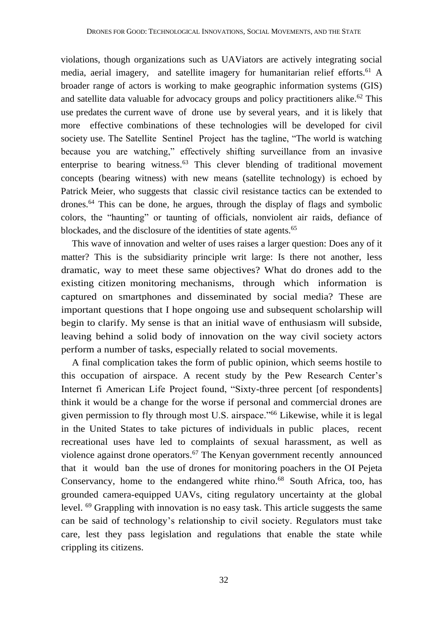violations, though organizations such as UAViators are actively integrating social media, aerial imagery, and satellite imagery for humanitarian relief efforts.<sup>61</sup> A broader range of actors is working to make geographic information systems (GIS) and satellite data valuable for advocacy groups and policy practitioners alike.<sup>62</sup> This use predates the current wave of drone use by several years, and it is likely that more effective combinations of these technologies will be developed for civil society use. The Satellite Sentinel Project has the tagline, "The world is watching because you are watching," effectively shifting surveillance from an invasive enterprise to bearing witness.<sup>63</sup> This clever blending of traditional movement concepts (bearing witness) with new means (satellite technology) is echoed by Patrick Meier, who suggests that classic civil resistance tactics can be extended to drones.<sup>64</sup> This can be done, he argues, through the display of flags and symbolic colors, the "haunting" or taunting of officials, nonviolent air raids, defiance of blockades, and the disclosure of the identities of state agents.<sup>65</sup>

This wave of innovation and welter of uses raises a larger question: Does any of it matter? This is the subsidiarity principle writ large: Is there not another, less dramatic, way to meet these same objectives? What do drones add to the existing citizen monitoring mechanisms, through which information is captured on smartphones and disseminated by social media? These are important questions that I hope ongoing use and subsequent scholarship will begin to clarify. My sense is that an initial wave of enthusiasm will subside, leaving behind a solid body of innovation on the way civil society actors perform a number of tasks, especially related to social movements.

A final complication takes the form of public opinion, which seems hostile to this occupation of airspace. A recent study by the Pew Research Center's Internet fi American Life Project found, "Sixty-three percent [of respondents] think it would be a change for the worse if personal and commercial drones are given permission to fly through most U.S. airspace."<sup>66</sup> Likewise, while it is legal in the United States to take pictures of individuals in public places, recent recreational uses have led to complaints of sexual harassment, as well as violence against drone operators.<sup>67</sup> The Kenyan government recently announced that it would ban the use of drones for monitoring poachers in the OI Pejeta Conservancy, home to the endangered white rhino.<sup>68</sup> South Africa, too, has grounded camera-equipped UAVs, citing regulatory uncertainty at the global level. <sup>69</sup> Grappling with innovation is no easy task. This article suggests the same can be said of technology's relationship to civil society. Regulators must take care, lest they pass legislation and regulations that enable the state while crippling its citizens.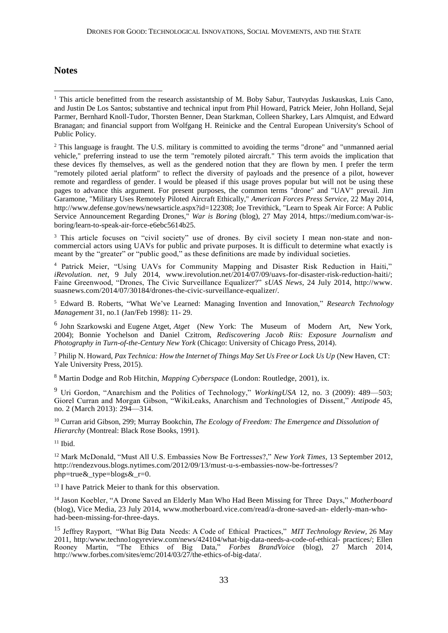## **Notes**

<u>.</u>

<sup>2</sup> This language is fraught. The U.S. military is committed to avoiding the terms "drone" and "unmanned aerial vehicle," preferring instead to use the term "remotely piloted aircraft." This term avoids the implication that these devices fly themselves, as well as the gendered notion that they are flown by men. I prefer the term "remotely piloted aerial platform" to reflect the diversity of payloads and the presence of a pilot, however remote and regardless of gender. I would be pleased if this usage proves popular but will not be using these pages to advance this argument. For present purposes, the common terms "drone" and "UAV" prevail. Jim Garamone, "Military Uses Remotely Piloted Aircraft Ethically," *American Forces Press Service*, 22 May 2014, http://www.defense.gov/news/newsarticle.aspx?id=122308; Joe Trevithick, "Learn to Speak Air Force: A Public Service Announcement Regarding Drones," *War is Boring* (blog), 27 May 2014, https://medium.com/war-isboring/learn-to-speak-air-force-e6ebc5614b25.

<sup>3</sup> This article focuses on "civil society" use of drones. By civil society I mean non-state and noncommercial actors using UAVs for public and private purposes. It is difficult to determine what exactly is meant by the "greater" or "public good," as these definitions are made by individual societies.

<sup>4</sup> Patrick Meier, "Using UAVs for Community Mapping and Disaster Risk Reduction in Haiti," *iRevolution. net,* 9 July 2014, [www.irevolution.net/2014/07/09/uavs-for-disaster-risk-reduction-haiti/;](http://www.irevolution.net/2014/07/09/uavs-for-disaster-risk-reduction-haiti/%3B) Faine Greenwood, "Drones, The Civic Surveillance Equalizer?" *sUAS News,* 24 July 2014, [http://www.](http://www/) suasnews.com/2014/07/30184/drones-the-civic-surveillance-equalizer/.

<sup>5</sup> Edward B. Roberts, "What We've Learned: Managing Invention and Innovation," *Research Technology Management* 31, no.1 (Jan/Feb 1998): 11- 29.

6 John Szarkowski and Eugene Atget, *Atget* (New York: The Museum of Modern Art, New York, 2004); Bonnie Yochelson and Daniel Czitrom, *Rediscovering Jacob Riis: Exposure Journalism and Photography in Turn-of-the-Century New York* (Chicago: University of Chicago Press, 2014).

<sup>7</sup> Philip N. Howard, *Pax Technica: How the Internet of Things May Set Us Free or Lock Us Up* (New Haven, CT: Yale University Press, 2015).

<sup>8</sup> Martin Dodge and Rob Hitchin, *Mapping Cyberspace* (London: Routledge, 2001), ix.

<sup>9</sup> Uri Gordon, "Anarchism and the Politics of Technology," *WorkingUSA* 12, no. 3 (2009): 489—503; Giorel Curran and Morgan Gibson, "WikiLeaks, Anarchism and Technologies of Dissent," *Antipode* 45, no. 2 (March 2013): 294—314.

<sup>10</sup> Curran arid Gibson, 299; Murray Bookchin, *The Ecology of Freedom: The Emergence and Dissolution of Hierarchy* (Montreal: Black Rose Books, 1991).

 $11$  Ibid.

<sup>12</sup> Mark McDonald, "Must All U.S. Embassies Now Be Fortresses?," *New York Times,* 13 September 2012, [http://rendezvous.blogs.nytimes.com/2012/09/13/must-u-s-embassies-now-be-fortresses/?](http://rendezvous.blogs.nytimes.com/2012/09/13/must-u-s-embassies-now-be-fortresses/) php=true&\_type=blogs&\_r=0.

<sup>13</sup> I have Patrick Meier to thank for this observation.

<sup>14</sup> Jason Koebler, "A Drone Saved an Elderly Man Who Had Been Missing for Three Days," *Motherboard*  (blog), Vice Media, 23 July 2014, [www.motherboard.vice.com/read/a-drone-saved-an-](http://www.motherboard.vice.com/read/a-drone-saved-an-) elderly-man-whohad-been-missing-for-three-days.

<sup>15</sup> Jeffrey Rayport, "What Big Data Needs: A Code of Ethical Practices," *MIT Technology Review,* 26 May 2011, [http:/www.techno1ogyreview.com/news/424104/what-big-data-needs-a-code-of-ethical-](http://www.techno1ogyreview.com/news/424104/what-big-data-needs-a-code-of-ethical-) practices/; Ellen Rooney Martin, "The Ethics of Big Data," *Forbes BrandVoice* (blog), 27 March 2014[,](http://www.forbes.com/sites/emc/2014/03/27/the-ethics-of-big-data/) [http://www.forbes.com/sites/emc/2014/03/27/the-ethics-of-big-data/.](http://www.forbes.com/sites/emc/2014/03/27/the-ethics-of-big-data/)

<sup>&</sup>lt;sup>1</sup> This article benefitted from the research assistantship of M. Boby Sabur, Tautyydas Juskauskas, Luis Cano, and Justin De Los Santos; substantive and technical input from Phil Howard, Patrick Meier, John Holland, Sejal Parmer, Bernhard Knoll-Tudor, Thorsten Benner, Dean Starkman, Colleen Sharkey, Lars Almquist, and Edward Branagan; and financial support from Wolfgang H. Reinicke and the Central European University's School of Public Policy.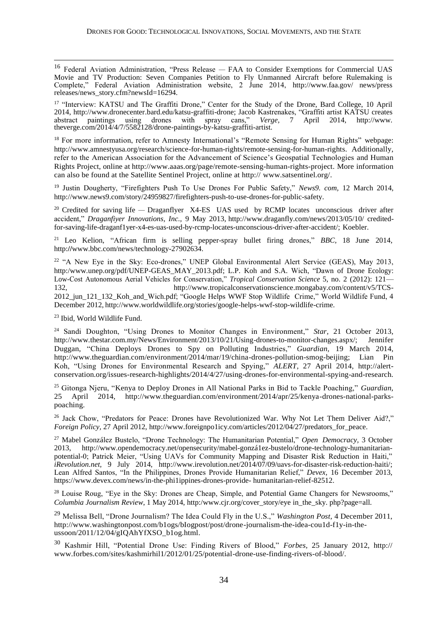<sup>16</sup> Federal Aviation Administration, "Press Release — FAA to Consider Exemptions for Commercial UAS Movie and TV Production: Seven Companies Petition to Fly Unmanned Aircraft before Rulemaking is Complete," Federal Aviation Administration website, 2 June 2014, <http://www.faa.gov/> news/press releases/news\_story.cfm?newsId=16294.

<sup>17</sup> "Interview: KATSU and The Graffiti Drone," Center for the Study of the Drone, Bard College, 10 April 2014, [http://www.dronecenter.bard.edu/katsu-graffiti-drone; J](http://www.dronecenter.bard.edu/katsu-graffiti-drone%3B)acob Kastrenakes, "Graffiti artist KATSU creates abstract paintings using drones with spray cans," Verge, 7 April 2014, http://www. drones with spray cans," *Verge,* theverge.com/2014/4/7/5582128/drone-paintings-by-katsu-graffiti-artist.

<sup>18</sup> For more information, refer to Amnesty International's "Remote Sensing for Human Rights" webpage: [http://www.amnestyusa.org/research/science-for-human-rights/remote-sensing-for-human-r](http://www.amnestyusa.org/research/science-for-human-rights/remote-sensing-for-human-)ights. Additionally, refer to the American Association for the Advancement of Science's Geospatial Technologies and Human Rights Project, online at [http://www.aaas.org/page/remote-sensing-human-r](http://www.aaas.org/page/remote-sensing-human-)ights-project. More information can also be found at the Satellite Sentinel Project, online at http:// [www.satsentinel.org/.](http://www.satsentinel.org/)

<sup>19</sup> Justin Dougherty, "Firefighters Push To Use Drones For Public Safety," *News9. com,* 12 March 2014, [http://www.news9.com/story/24959827/firefighters-push-to-use-drones-for-public-safety.](http://www.news9.com/story/24959827/firefighters-push-to-use-drones-for-public-safety)

<sup>20</sup> Credited for saving life — Draganflyer X4-ES UAS used by RCMP locates unconscious driver after accident," *Draganfiyer Innovations, Inc.,* 9 May 2013, <http://www.draganfly.com/news/2013/05/10/> creditedfor-saving-life-draganf1yer-x4-es-uas-used-by-rcmp-locates-unconscious-driver-after-accident/; Koebler.

<sup>21</sup> Leo Kelion, "African firm is selling pepper-spray bullet firing drones," *BBC,* 18 June 2014, http:**//**[www.bbc.com/news/technology-27902634.](http://www.bbc.com/news/technology-27902634)

<sup>22</sup> "A New Eye in the Sky: Eco-drones," UNEP Global Environmental Alert Service (GEAS), May 2013, [http:/www.unep.org/pdf/UNEP-GEAS\\_](http://www.unep.org/pdf/UNEP-GEAS)MAY\_2013.pdf; L.P. Koh and S.A. Wich, "Dawn of Drone Ecology: Low-Cost Autonomous Aerial Vehicles for Conservation," *Tropical Conservation Science* 5, no. 2 (2012): 121— 132, http://www.tropicalconservationscience.mongabay.com/content/v5/TCS-2012\_jun\_121\_132\_Koh\_and\_Wich.pdf; "Google Helps WWF Stop Wildlife Crime," World Wildlife Fund, 4 December 2012, [http://www.worldwildlife.org/stories/google-helps-wwf-stop-wildlife-crime.](http://www.worldwildlife.org/stories/google-helps-wwf-stop-wildlife-crime)

<sup>23</sup> Ibid, World Wildlife Fund.

<u>.</u>

<sup>24</sup> Sandi Doughton, "Using Drones to Monitor Changes in Environment," *Star,* 21 October 2013, [http://www.thestar.com.my/News/Environment/2013/10/21/Using-drones-to-monitor-changes.aspx/;](http://www.thestar.com.my/News/Environment/2013/10/21/Using-drones-to-monitor-changes.aspx/%3B) Jennifer Duggan, "China Deploys Drones to Spy on Polluting Industries," *Guardian,* 19 March 2014, [http://www.theguardian.com/environment/2014/mar/19/china-drones-pollution-smog-beijing;](http://www.theguardian.com/environment/2014/mar/19/china-drones-pollution-smog-beijing%3B) Lian Pin Koh, "Using Drones for Environmental Research and Spying," *ALERT,* 27 April 2014, http://alertconservation.org/issues-research-highlights/2014/4/27/using-drones-for-environmental-spying-and-research.

<sup>25</sup> Gitonga Njeru, "Kenya to Deploy Drones in All National Parks in Bid to Tackle Poaching," *Guardian,* 25 April 2014, [http://www.theguardian.com/environment/2014/apr/25/kenya-drones-n](http://www.theguardian.com/environment/2014/apr/25/kenya-drones-)ational-parkspoaching.

<sup>26</sup> Jack Chow, "Predators for Peace: Drones have Revolutionized War. Why Not Let Them Deliver Aid?," *Foreign Policy,* 27 April 2012, [http://www.foreignpo1icy.com/articles/2012/04/27/predators\\_for\\_](http://www.foreignpo1icy.com/articles/2012/04/27/predators_for)peace.

<sup>27</sup> Mabel González Bustelo, "Drone Technology: The Humanitarian Potential," *Open Democracy,* 3 October 2013, http://www.opendemocracy.net/opensecurity/mabel-gonzá1ez-bustelo/drone-technology-humanitarianpotential-0; Patrick Meier, "Using UAVs for Community Mapping and Disaster Risk Reduction in Haiti," *iRevolution.net,* 9 July 2014, [http://www.irevolution.net/2014/07/09/uavs-for-d](http://www.irevolution.net/2014/07/09/uavs-for-)isaster-risk-reduction-haiti/; Lean Alfred Santos, "In the Philippines, Drones Provide Humanitarian Relief," *Devex,* 16 December 2013, [https://www.devex.com/news/in-the-phi1ippines-drones-provide-](http://www.devex.com/news/in-the-phi1ippines-drones-provide-) humanitarian-relief-82512.

<sup>28</sup> Louise Roug, "Eye in the Sky: Drones are Cheap, Simple, and Potential Game Changers for Newsrooms," *Columbia Journalism Review*, 1 May 2014[, http:/www.cjr.org/cover\\_story/eye](http://www.cjr.org/cover_story/eye) in\_the\_sky. php?page=all.

<sup>29</sup> Melissa Bell, "Drone Journalism? The Idea Could Fly in the U.S.," *Washington Post,* 4 December 2011, [http://www.washingtonpost.com/b1ogs/bIogpost/post/drone-journalism-the-idea-cou1d-f1y-in-t](http://www.washingtonpost.com/b1ogs/bIogpost/post/drone-journalism-the-idea-cou1d-f1y-in-)heussoon/2011/12/04/gIQAhYfXSO\_b1og.html.

<sup>30</sup> Kashmir Hill, "Potential Drone Use: Finding Rivers of Blood," *Forbes,* 25 January 2012, http:// [www.forbes.com/sites/kashmirhil1/2012/01/25/potential-drone-use-finding-rivers-of-blood/.](http://www.forbes.com/sites/kashmirhil1/2012/01/25/potential-drone-use-finding-rivers-of-blood/)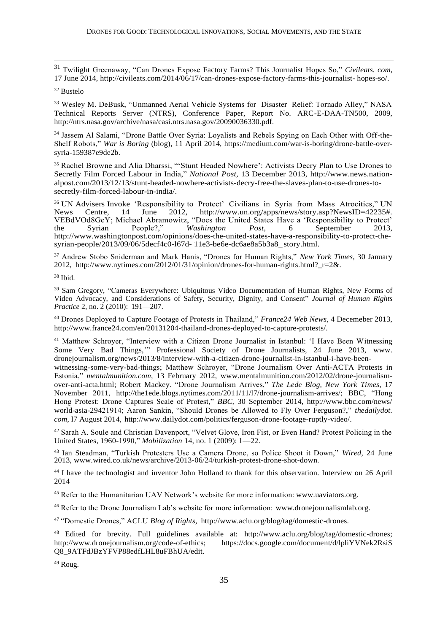<sup>31</sup> Twilight Greenaway, "Can Drones Expose Factory Farms? This Journalist Hopes So," *Civileats. com,*  17 June 2014,<http://civileats.com/2014/06/17/can-drones-expose-factory-farms-this-journalist-> hopes-so/.

#### <sup>32</sup> Bustelo

<u>.</u>

<sup>33</sup> Wesley M. DeBusk, "Unmanned Aerial Vehicle Systems for Disaster Relief: Tornado Alley," NASA Technical Reports Server (NTRS), Conference Paper, Report No. ARC-E-DAA-TN500, 2009, [http://ntrs.nasa.gov/archive/nasa/casi.ntrs.nasa.gov/20090036330.pdf.](http://ntrs.nasa.gov/archive/nasa/casi.ntrs.nasa.gov/20090036330.pdf)

<sup>34</sup> Jassem Al Salami, "Drone Battle Over Syria: Loyalists and Rebels Spying on Each Other with Off-the-Shelf Robots," *War is Boring* (blog), 11 April 2014, https://medium.com/war-is-boring/drone-battle-oversyria-159387e9de2b.

<sup>35</sup> Rachel Browne and Alia Dharssi, "'Stunt Headed Nowhere': Activists Decry Plan to Use Drones to Secretly Film Forced Labour in India," *National Post,* 13 December 2013, [http://www.news.nation](http://www.news.nation-/)alpost.com/2013/12/13/stunt-headed-nowhere-activists-decry-free-the-slaves-plan-to-use-drones-tosecretly-film-forced-labour-in-india/.

<sup>36</sup> UN Advisers Invoke 'Responsibility to Protect' Civilians in Syria from Mass Atrocities," UN News Centre, 14 June 2012, [http://www.un.org/apps/news/story.asp?NewsID=42235#.](http://www.un.org/apps/news/story.asp?NewsID=42235) VEBdVOd8GeY; Michael Abramowitz, "Does the United States Have a 'Responsibility to Protect' the Syrian People?," *Washington Post,* 6 September 2013, [http://www.washingtonpost.com/opinions/d](http://www.washingtonpost.com/opinions/)oes-the-united-states-have-a-responsibility-to-protect-thesyrian-people/2013/09/06/5decf4c0-l67d- 11e3-be6e-dc6ae8a5b3a8\_story.html.

<sup>37</sup> Andrew Stobo Sniderman and Mark Hanis, "Drones for Human Rights," *New York Times,* 30 January 2012, http://www.nytimes.com/2012/01/31/opinion/drones-for-human-rights.html? $r=2\&$ .

<sup>38</sup> Ibid.

<sup>39</sup> Sam Gregory, "Cameras Everywhere: Ubiquitous Video Documentation of Human Rights, New Forms of Video Advocacy, and Considerations of Safety, Security, Dignity, and Consent" *Journal of Human Rights Practice* 2, no. 2 (2010): 191-207.

<sup>40</sup> Drones Deployed to Capture Footage of Protests in Thailand," *France24 Web News,* 4 Decemeber 2013, [http://www.france24.com/en/20131204-thailand-drones-deployed-to-capture-protests/.](http://www.france24.com/en/20131204-thailand-drones-deployed-to-capture-protests/)

<sup>41</sup> Matthew Schroyer, "Interview with a Citizen Drone Journalist in Istanbul: 'I Have Been Witnessing Some Very Bad Things,'" Professional Society of Drone Journalists, 24 June 2013, [www.](http://www/) dronejournalism.org/news/2013/8/interview-with-a-citizen-drone-journalist-in-istanbul-i-have-been-

witnessing-some-very-bad-things; Matthew Schroyer, "Drone Journalism Over Anti-ACTA Protests in Estonia," *mentalmunition.com,* 13 February 2012, [www.mentalmunition.com/2012/02/drone-journalism](http://www.mentalmunition.com/2012/02/drone-journalism-)over-anti-acta.html; Robert Mackey, "Drone Journalism Arrives," *The Lede Blog, New York Times,* 17 November 2011, [http://the1ede.blogs.nytimes.com/2011/11/l7/drone-journalism-arrives/;](http://the1ede.blogs.nytimes.com/2011/11/l7/drone-journalism-arrives/%3B) BBC, "Hong Hong Protest: Drone Captures Scale of Protest," *BBC,* 30 September 2014,<http://www.bbc.com/news/> world-asia-29421914; Aaron Sankin, "Should Drones be Allowed to Fly Over Ferguson?," *thedailydot. com,* l7 August 2014, [http://www.dailydot.com/politics/ferguson-drone-footage-ruptly-video/.](http://www.dailydot.com/politics/ferguson-drone-footage-ruptly-video/)

<sup>42</sup> Sarah A. Soule and Christian Davenport, "Velvet Glove, Iron Fist, or Even Hand? Protest Policing in the United States, 1960-1990," *Mobilization* 14, no. 1 (2009): 1—22.

<sup>43</sup> Ian Steadman, "Turkish Protesters Use a Camera Drone, so Police Shoot it Down," *Wired,* 24 June 2013, [www.wired.co.uk/news/archive/2013-06/24/turkish-protest-drone-shot-down.](http://www.wired.co.uk/news/archive/2013-06/24/turkish-protest-drone-shot-down)

<sup>44</sup> I have the technologist and inventor John Holland to thank for this observation. Interview on 26 April 2014

<sup>45</sup> Refer to the Humanitarian UAV Network's website for more information: [www.uaviators.org.](http://www.uaviators.org/)

<sup>46</sup> Refer to the Drone Journalism Lab's website for more information: [www.dronejournalismlab.org.](http://www.dronejournalismlab.org/)

<sup>47</sup> "Domestic Drones," ACLU *Blog of Rights,* [http://www.aclu.org/blog/tag/domestic-drones.](http://www.aclu.org/blog/tag/domestic-drones)

<sup>48</sup> Edited for brevity. Full guidelines available at: [http://www.aclu.org/blog/tag/domestic-drones;](http://www.aclu.org/blog/tag/domestic-drones%3B) [http://www.dronejournalism.org/code-of-ethics;](http://www.dronejournalism.org/code-of-ethics%3B) https://docs.google.com/document/d/lpliYVNek2RsiS Q8\_9ATFdJBzYFVP88edfLHL8uFBhUA/edit.

<sup>49</sup> Roug.